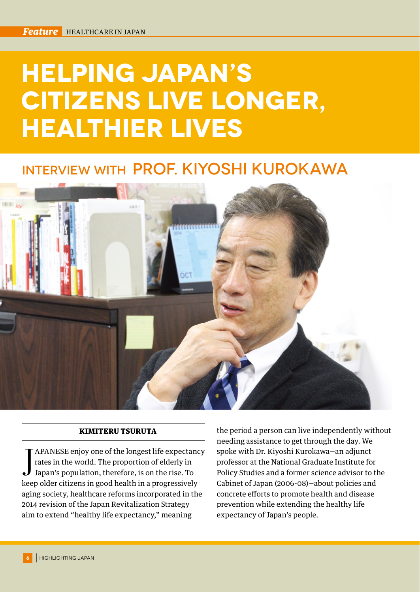# **Helping Japan's Citizens Live Longer, Healthier Lives**

## Interview with Prof. Kiyoshi Kurokawa



#### KIMITERU TSURUTA

J APANESE enjoy one of the longest life expectancy rates in the world. The proportion of elderly in Japan's population, therefore, is on the rise. To keep older citizens in good health in a progressively APANESE enjoy one of the longest life expectancy rates in the world. The proportion of elderly in Japan's population, therefore, is on the rise. To aging society, healthcare reforms incorporated in the 2014 revision of the Japan Revitalization Strategy aim to extend "healthy life expectancy," meaning

the period a person can live independently without needing assistance to get through the day. We spoke with Dr. Kiyoshi Kurokawa—an adjunct professor at the National Graduate Institute for Policy Studies and a former science advisor to the Cabinet of Japan (2006-08)—about policies and concrete efforts to promote health and disease prevention while extending the healthy life expectancy of Japan's people.